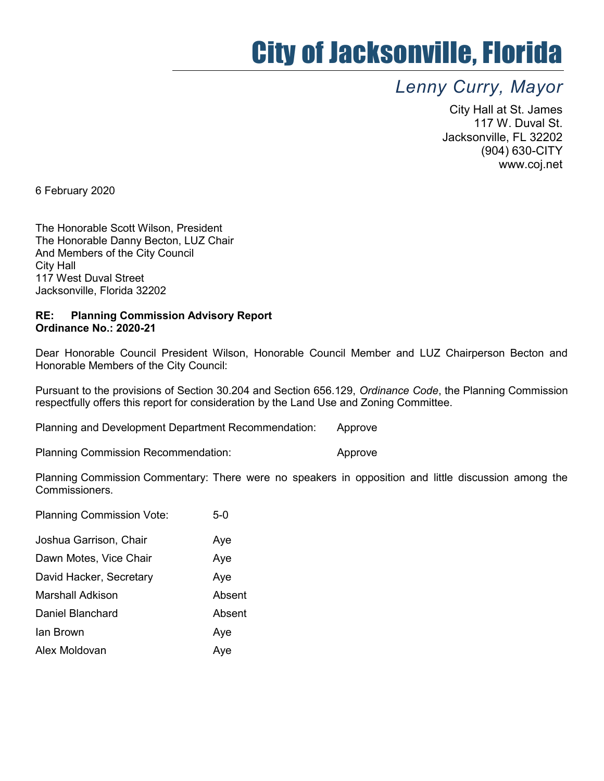## City of Jacksonville, Florida

## Lenny Curry, Mayor

City Hall at St. James 117 W. Duval St. Jacksonville, FL 32202 (904) 630-CITY www.coj.net

6 February 2020

The Honorable Scott Wilson, President The Honorable Danny Becton, LUZ Chair And Members of the City Council City Hall 117 West Duval Street Jacksonville, Florida 32202

## RE: Planning Commission Advisory Report Ordinance No.: 2020-21

Dear Honorable Council President Wilson, Honorable Council Member and LUZ Chairperson Becton and Honorable Members of the City Council:

Pursuant to the provisions of Section 30.204 and Section 656.129, Ordinance Code, the Planning Commission respectfully offers this report for consideration by the Land Use and Zoning Committee.

Planning and Development Department Recommendation: Approve

Planning Commission Recommendation: The Approve

Planning Commission Commentary: There were no speakers in opposition and little discussion among the Commissioners.

| <b>Planning Commission Vote:</b> | $5-0$  |
|----------------------------------|--------|
| Joshua Garrison, Chair           | Aye    |
| Dawn Motes, Vice Chair           | Aye    |
| David Hacker, Secretary          | Aye    |
| Marshall Adkison                 | Absent |
| Daniel Blanchard                 | Absent |
| lan Brown                        | Aye    |
| Alex Moldovan                    | Aye    |